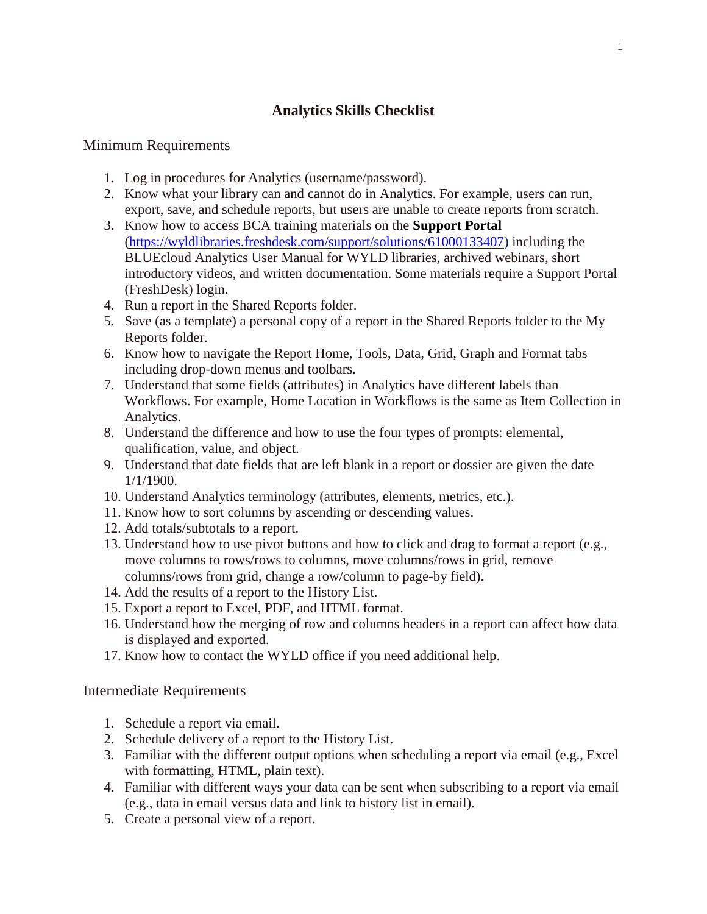## **Analytics Skills Checklist**

## Minimum Requirements

- 1. Log in procedures for Analytics (username/password).
- 2. Know what your library can and cannot do in Analytics. For example, users can run, export, save, and schedule reports, but users are unable to create reports from scratch.
- 3. Know how to access BCA training materials on the **Support Portal** [\(https://wyldlibraries.freshdesk.com/support/solutions/61000133407\)](https://wyldlibraries.freshdesk.com/support/solutions/61000133407) including the BLUEcloud Analytics User Manual for WYLD libraries, archived webinars, short introductory videos, and written documentation. Some materials require a Support Portal (FreshDesk) login.
- 4. Run a report in the Shared Reports folder.
- 5. Save (as a template) a personal copy of a report in the Shared Reports folder to the My Reports folder.
- 6. Know how to navigate the Report Home, Tools, Data, Grid, Graph and Format tabs including drop-down menus and toolbars.
- 7. Understand that some fields (attributes) in Analytics have different labels than Workflows. For example, Home Location in Workflows is the same as Item Collection in Analytics.
- 8. Understand the difference and how to use the four types of prompts: elemental, qualification, value, and object.
- 9. Understand that date fields that are left blank in a report or dossier are given the date 1/1/1900.
- 10. Understand Analytics terminology (attributes, elements, metrics, etc.).
- 11. Know how to sort columns by ascending or descending values.
- 12. Add totals/subtotals to a report.
- 13. Understand how to use pivot buttons and how to click and drag to format a report (e.g., move columns to rows/rows to columns, move columns/rows in grid, remove columns/rows from grid, change a row/column to page-by field).
- 14. Add the results of a report to the History List.
- 15. Export a report to Excel, PDF, and HTML format.
- 16. Understand how the merging of row and columns headers in a report can affect how data is displayed and exported.
- 17. Know how to contact the WYLD office if you need additional help.

## Intermediate Requirements

- 1. Schedule a report via email.
- 2. Schedule delivery of a report to the History List.
- 3. Familiar with the different output options when scheduling a report via email (e.g., Excel with formatting, HTML, plain text).
- 4. Familiar with different ways your data can be sent when subscribing to a report via email (e.g., data in email versus data and link to history list in email).
- 5. Create a personal view of a report.